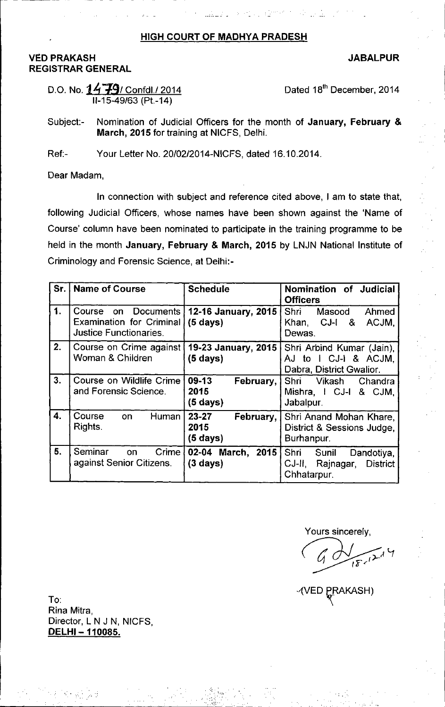## HIGH COURT OF MADHYA PRADESH

## VED PRAKASH REGISTRAR GENERAL

## JABALPUR

D.O. No.  $1479/$  Confdl./2014 11-15-49/63(Pt.-14)

Dated 18<sup>th</sup> December, 2014

Subject:- Nomination of Judicial Officers for the month of January, February & March, 2015 for training at NICFS, Delhi.

Ref:- Your Letter No. 20/02/2014-NICFS, dated 16.10.2014.

Dear Madam,

In connection with subject and reference cited above, I am to state that, following Judicial Officers, whose names have been shown against the 'Name of Course' column have been nominated to participate in the training programme to be held in the month January, February & March, 2015 by LNJN National Institute of Criminology and Forensic Science, at Delhi:-

| Sr. | <b>Name of Course</b>                                                                   | <b>Schedule</b>                                      | Nomination of Judicial<br><b>Officers</b>                                      |
|-----|-----------------------------------------------------------------------------------------|------------------------------------------------------|--------------------------------------------------------------------------------|
| 1.  | Documents<br>Course<br>on.<br><b>Examination for Criminal</b><br>Justice Functionaries. | 12-16 January, 2015<br>$(5 \text{ days})$            | Shri Masood<br>Ahmed<br>Khan, CJ-I &<br>ACJM,<br>Dewas.                        |
| 2.  | Course on Crime against<br>Woman & Children                                             | 19-23 January, 2015<br>$(5 \text{ days})$            | Shri Arbind Kumar (Jain),<br>AJ to I CJ-I & ACJM,<br>Dabra, District Gwalior.  |
| 3.  | Course on Wildlife Crime<br>and Forensic Science.                                       | 09-13<br>February,<br>2015<br>$(5 \text{ days})$     | Shri<br>Vikash<br>Chandra<br>Mishra, I CJ-I & CJM,<br>Jabalpur.                |
| 4.  | Course<br>Human<br>on<br>Rights.                                                        | $23 - 27$<br>February,<br>2015<br>$(5 \text{ days})$ | Shri Anand Mohan Khare,<br>District & Sessions Judge,<br>Burhanpur.            |
| 5.  | Seminar<br>Crime  <br>on<br>against Senior Citizens.                                    | 02-04 March, $2015$<br>$(3 \text{ days})$            | Shri Sunil<br>Dandotiya,<br>CJ-II, Rajnagar,<br><b>District</b><br>Chhatarpur. |

 $\mathcal{L}^{\text{max}}$ ',,',  $\mathcal{L}^{\mathcal{L}}$ 

Yours sincerely,

 $\sqrt{9}$ 

 $\frac{1}{2}$  ,  $\frac{1}{2}$  ,  $\frac{1}{2}$  ,  $\frac{1}{2}$  ,  $\frac{1}{2}$  ,  $\frac{1}{2}$  ,  $\frac{1}{2}$  ,  $\frac{1}{2}$  ,  $\frac{1}{2}$ 

AKASH)

To: Rina Mitra, Director, L N J N, NICFS, DELHI-110085.